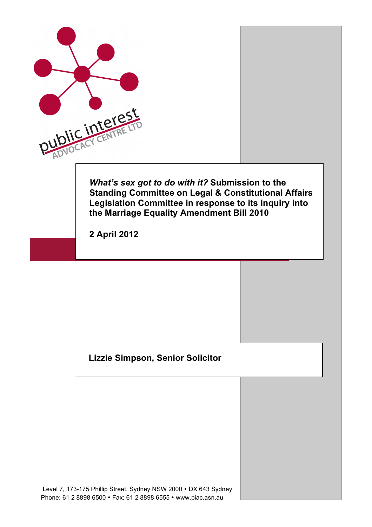

## **Lizzie Simpson, Senior Solicitor**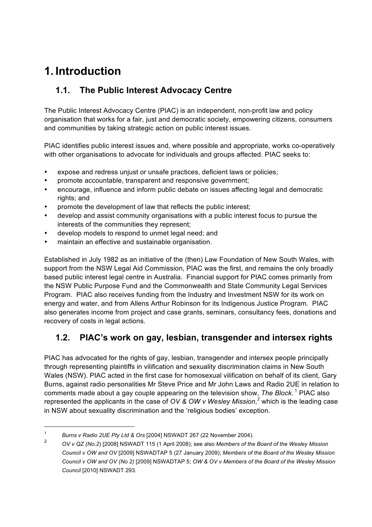# **1. Introduction**

## **1.1. The Public Interest Advocacy Centre**

The Public Interest Advocacy Centre (PIAC) is an independent, non-profit law and policy organisation that works for a fair, just and democratic society, empowering citizens, consumers and communities by taking strategic action on public interest issues.

PIAC identifies public interest issues and, where possible and appropriate, works co-operatively with other organisations to advocate for individuals and groups affected. PIAC seeks to:

- expose and redress unjust or unsafe practices, deficient laws or policies;
- promote accountable, transparent and responsive government;
- encourage, influence and inform public debate on issues affecting legal and democratic rights; and
- promote the development of law that reflects the public interest;
- develop and assist community organisations with a public interest focus to pursue the interests of the communities they represent;
- develop models to respond to unmet legal need; and
- maintain an effective and sustainable organisation.

Established in July 1982 as an initiative of the (then) Law Foundation of New South Wales, with support from the NSW Legal Aid Commission, PIAC was the first, and remains the only broadly based public interest legal centre in Australia. Financial support for PIAC comes primarily from the NSW Public Purpose Fund and the Commonwealth and State Community Legal Services Program. PIAC also receives funding from the Industry and Investment NSW for its work on energy and water, and from Allens Arthur Robinson for its Indigenous Justice Program. PIAC also generates income from project and case grants, seminars, consultancy fees, donations and recovery of costs in legal actions.

## **1.2. PIAC's work on gay, lesbian, transgender and intersex rights**

PIAC has advocated for the rights of gay, lesbian, transgender and intersex people principally through representing plaintiffs in vilification and sexuality discrimination claims in New South Wales (NSW). PIAC acted in the first case for homosexual vilification on behalf of its client, Gary Burns, against radio personalities Mr Steve Price and Mr John Laws and Radio 2UE in relation to comments made about a gay couple appearing on the television show, *The Block*. <sup>1</sup> PIAC also represented the applicants in the case of *OV & OW v Wesley Mission*, *<sup>2</sup>* which is the leading case in NSW about sexuality discrimination and the 'religious bodies' exception.

 <sup>1</sup> *Burns v Radio 2UE Pty Ltd & Ors* [2004] NSWADT 267 (22 November 2004).

<sup>2</sup> *OV v QZ (No.2*) [2008] NSWADT 115 (1 April 2008); see also *Members of the Board of the Wesley Mission Council v OW and OV* [2009] NSWADTAP 5 (27 January 2009); *Members of the Board of the Wesley Mission Council v OW and OV (No 2)* [2009] NSWADTAP 5; *OW & OV v Members of the Board of the Wesley Mission Council* [2010] NSWADT 293.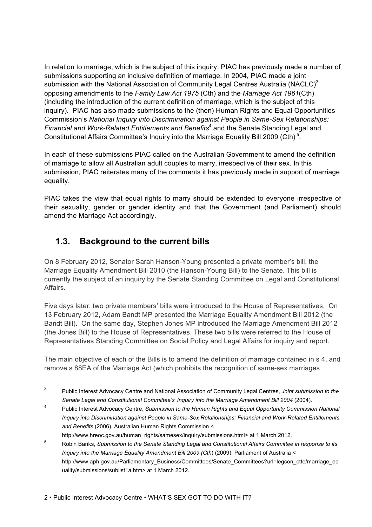In relation to marriage, which is the subject of this inquiry, PIAC has previously made a number of submissions supporting an inclusive definition of marriage. In 2004, PIAC made a joint submission with the National Association of Community Legal Centres Australia (NACLC)<sup>3</sup> opposing amendments to the *Family Law Act 1975* (Cth) and the *Marriage Act 1961*(Cth) (including the introduction of the current definition of marriage, which is the subject of this inquiry). PIAC has also made submissions to the (then) Human Rights and Equal Opportunities Commission's *National Inquiry into Discrimination against People in Same-Sex Relationships: Financial and Work-Related Entitlements and Benefits*<sup>4</sup> and the Senate Standing Legal and Constitutional Affairs Committee's Inquiry into the Marriage Equality Bill 2009 (Cth)<sup>5</sup>.

In each of these submissions PIAC called on the Australian Government to amend the definition of marriage to allow all Australian adult couples to marry, irrespective of their sex. In this submission, PIAC reiterates many of the comments it has previously made in support of marriage equality.

PIAC takes the view that equal rights to marry should be extended to everyone irrespective of their sexuality, gender or gender identity and that the Government (and Parliament) should amend the Marriage Act accordingly.

# **1.3. Background to the current bills**

On 8 February 2012, Senator Sarah Hanson-Young presented a private member's bill, the Marriage Equality Amendment Bill 2010 (the Hanson-Young Bill) to the Senate. This bill is currently the subject of an inquiry by the Senate Standing Committee on Legal and Constitutional Affairs.

Five days later, two private members' bills were introduced to the House of Representatives. On 13 February 2012, Adam Bandt MP presented the Marriage Equality Amendment Bill 2012 (the Bandt Bill). On the same day, Stephen Jones MP introduced the Marriage Amendment Bill 2012 (the Jones Bill) to the House of Representatives. These two bills were referred to the House of Representatives Standing Committee on Social Policy and Legal Affairs for inquiry and report.

The main objective of each of the Bills is to amend the definition of marriage contained in s 4, and remove s 88EA of the Marriage Act (which prohibits the recognition of same-sex marriages

 <sup>3</sup> Public Interest Advocacy Centre and National Association of Community Legal Centres, *Joint submission to the Senate Legal and Constitutional Committee's Inquiry into the Marriage Amendment Bill 2004* (2004).

<sup>4</sup> Public Interest Advocacy Centre, *Submission to the Human Rights and Equal Opportunity Commission National Inquiry into Discrimination against People in Same-Sex Relationships: Financial and Work-Related Entitlements and Benefits* (2006), Australian Human Rights Commission < http://www.hreoc.gov.au/human\_rights/samesex/inquiry/submissions.html> at 1 March 2012.

<sup>5</sup> Robin Banks, *Submission to the Senate Standing Legal and Constitutional Affairs Committee in response to its Inquiry into the Marriage Equality Amendment Bill 2009 (Cth*) (2009), Parliament of Australia < http://www.aph.gov.au/Parliamentary\_Business/Committees/Senate\_Committees?url=legcon\_ctte/marriage\_eq uality/submissions/sublist1a.htm> at 1 March 2012.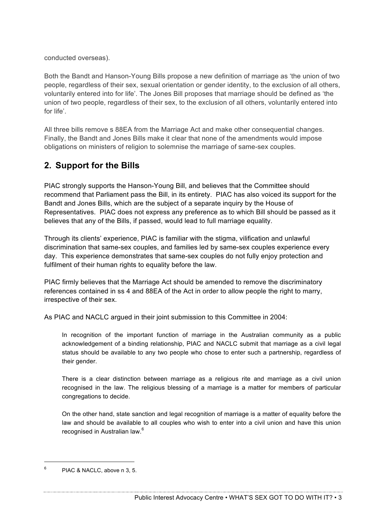conducted overseas).

Both the Bandt and Hanson-Young Bills propose a new definition of marriage as 'the union of two people, regardless of their sex, sexual orientation or gender identity, to the exclusion of all others, voluntarily entered into for life'. The Jones Bill proposes that marriage should be defined as 'the union of two people, regardless of their sex, to the exclusion of all others, voluntarily entered into for life'.

All three bills remove s 88EA from the Marriage Act and make other consequential changes. Finally, the Bandt and Jones Bills make it clear that none of the amendments would impose obligations on ministers of religion to solemnise the marriage of same-sex couples.

#### **2. Support for the Bills**

PIAC strongly supports the Hanson-Young Bill, and believes that the Committee should recommend that Parliament pass the Bill, in its entirety. PIAC has also voiced its support for the Bandt and Jones Bills, which are the subject of a separate inquiry by the House of Representatives. PIAC does not express any preference as to which Bill should be passed as it believes that any of the Bills, if passed, would lead to full marriage equality.

Through its clients' experience, PIAC is familiar with the stigma, vilification and unlawful discrimination that same-sex couples, and families led by same-sex couples experience every day. This experience demonstrates that same-sex couples do not fully enjoy protection and fulfilment of their human rights to equality before the law.

PIAC firmly believes that the Marriage Act should be amended to remove the discriminatory references contained in ss 4 and 88EA of the Act in order to allow people the right to marry, irrespective of their sex.

As PIAC and NACLC argued in their joint submission to this Committee in 2004:

In recognition of the important function of marriage in the Australian community as a public acknowledgement of a binding relationship, PIAC and NACLC submit that marriage as a civil legal status should be available to any two people who chose to enter such a partnership, regardless of their gender.

There is a clear distinction between marriage as a religious rite and marriage as a civil union recognised in the law. The religious blessing of a marriage is a matter for members of particular congregations to decide.

On the other hand, state sanction and legal recognition of marriage is a matter of equality before the law and should be available to all couples who wish to enter into a civil union and have this union recognised in Australian law.<sup>6</sup>

Public Interest Advocacy Centre • WHAT'S SEX GOT TO DO WITH IT? • 3

 $6$  PIAC & NACLC, above n 3, 5.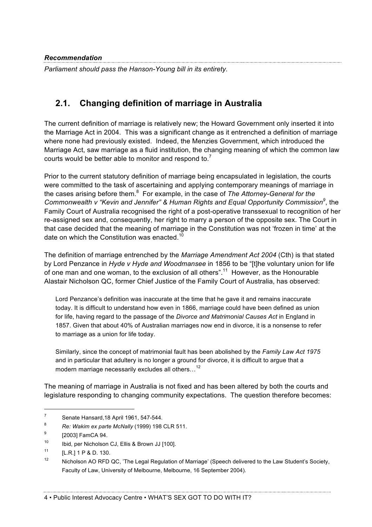*Recommendation* 

*Parliament should pass the Hanson-Young bill in its entirety.*

# **2.1. Changing definition of marriage in Australia**

The current definition of marriage is relatively new; the Howard Government only inserted it into the Marriage Act in 2004. This was a significant change as it entrenched a definition of marriage where none had previously existed. Indeed, the Menzies Government, which introduced the Marriage Act, saw marriage as a fluid institution, the changing meaning of which the common law courts would be better able to monitor and respond to. $<sup>7</sup>$ </sup>

Prior to the current statutory definition of marriage being encapsulated in legislation, the courts were committed to the task of ascertaining and applying contemporary meanings of marriage in the cases arising before them. 8 For example, in the case of *The Attorney-General for the Commonwealth v "Kevin and Jennifer" & Human Rights and Equal Opportunity Commission<sup>9</sup>* , the Family Court of Australia recognised the right of a post-operative transsexual to recognition of her re-assigned sex and, consequently, her right to marry a person of the opposite sex. The Court in that case decided that the meaning of marriage in the Constitution was not 'frozen in time' at the date on which the Constitution was enacted.<sup>10</sup>

The definition of marriage entrenched by the *Marriage Amendment Act 2004* (Cth) is that stated by Lord Penzance in *Hyde v Hyde and Woodmansee* in 1856 to be "[t]he voluntary union for life of one man and one woman, to the exclusion of all others".11 However, as the Honourable Alastair Nicholson QC, former Chief Justice of the Family Court of Australia, has observed:

Lord Penzance's definition was inaccurate at the time that he gave it and remains inaccurate today. It is difficult to understand how even in 1866, marriage could have been defined as union for life, having regard to the passage of the *Divorce and Matrimonial Causes Act* in England in 1857. Given that about 40% of Australian marriages now end in divorce, it is a nonsense to refer to marriage as a union for life today.

Similarly, since the concept of matrimonial fault has been abolished by the *Family Law Act 1975* and in particular that adultery is no longer a ground for divorce, it is difficult to argue that a modern marriage necessarily excludes all others. $1^2$ 

The meaning of marriage in Australia is not fixed and has been altered by both the courts and legislature responding to changing community expectations. The question therefore becomes:

 $7 \text{ Senate Hansard.18 April } 1961. 547-544.$ 

<sup>8</sup> *Re: Wakim ex parte McNally* (1999) 198 CLR 511.

<sup>&</sup>lt;sup>9</sup> [2003] FamCA 94.

<sup>10</sup> Ibid, per Nicholson CJ, Ellis & Brown JJ [100].

 $11$  [L.R.] 1 P & D. 130.

<sup>&</sup>lt;sup>12</sup> Nicholson AO RFD QC, 'The Legal Regulation of Marriage' (Speech delivered to the Law Student's Society, Faculty of Law, University of Melbourne, Melbourne, 16 September 2004).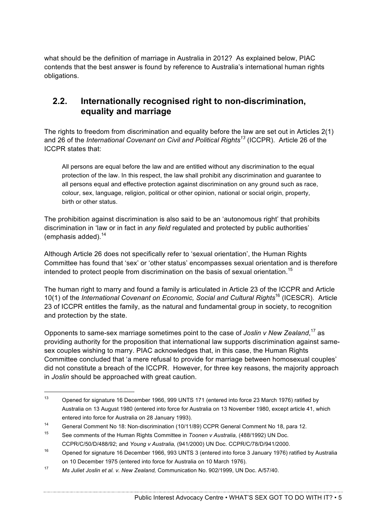what should be the definition of marriage in Australia in 2012? As explained below, PIAC contends that the best answer is found by reference to Australia's international human rights obligations.

#### **2.2. Internationally recognised right to non-discrimination, equality and marriage**

The rights to freedom from discrimination and equality before the law are set out in Articles 2(1) and 26 of the *International Covenant on Civil and Political Rights<sup>13</sup> (ICCPR). Article 26 of the* ICCPR states that:

All persons are equal before the law and are entitled without any discrimination to the equal protection of the law. In this respect, the law shall prohibit any discrimination and guarantee to all persons equal and effective protection against discrimination on any ground such as race, colour, sex, language, religion, political or other opinion, national or social origin, property, birth or other status.

The prohibition against discrimination is also said to be an 'autonomous right' that prohibits discrimination in 'law or in fact in *any field* regulated and protected by public authorities' (emphasis added). $14$ 

Although Article 26 does not specifically refer to 'sexual orientation', the Human Rights Committee has found that 'sex' or 'other status' encompasses sexual orientation and is therefore intended to protect people from discrimination on the basis of sexual orientation.<sup>15</sup>

The human right to marry and found a family is articulated in Article 23 of the ICCPR and Article 10(1) of the *International Covenant on Economic, Social and Cultural Rights*<sup>16</sup> (ICESCR). Article 23 of ICCPR entitles the family, as the natural and fundamental group in society, to recognition and protection by the state.

Opponents to same-sex marriage sometimes point to the case of *Joslin v New Zealand*, <sup>17</sup> as providing authority for the proposition that international law supports discrimination against samesex couples wishing to marry. PIAC acknowledges that, in this case, the Human Rights Committee concluded that 'a mere refusal to provide for marriage between homosexual couples' did not constitute a breach of the ICCPR. However, for three key reasons, the majority approach in *Joslin* should be approached with great caution.

 <sup>13</sup> Opened for signature 16 December 1966, 999 UNTS 171 (entered into force 23 March 1976) ratified by Australia on 13 August 1980 (entered into force for Australia on 13 November 1980, except article 41, which entered into force for Australia on 28 January 1993).

<sup>14</sup> General Comment No 18: Non-discrimination (10/11/89) CCPR General Comment No 18, para 12.

<sup>15</sup> See comments of the Human Rights Committee in *Toonen v Australia,* (488/1992) UN Doc. CCPR/C/50/D/488/92; and *Young v Australia,* (941/2000) UN Doc. CCPR/C/78/D/941/2000.

<sup>16</sup> Opened for signature 16 December 1966, 993 UNTS 3 (entered into force 3 January 1976) ratified by Australia on 10 December 1975 (entered into force for Australia on 10 March 1976).

<sup>17</sup> *Ms Juliet Joslin et al. v. New Zealand,* Communication No. 902/1999, UN Doc. A/57/40.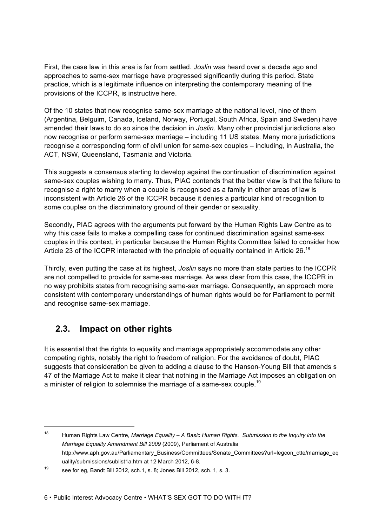First, the case law in this area is far from settled. *Joslin* was heard over a decade ago and approaches to same-sex marriage have progressed significantly during this period. State practice, which is a legitimate influence on interpreting the contemporary meaning of the provisions of the ICCPR, is instructive here.

Of the 10 states that now recognise same-sex marriage at the national level, nine of them (Argentina, Belguim, Canada, Iceland, Norway, Portugal, South Africa, Spain and Sweden) have amended their laws to do so since the decision in *Joslin*. Many other provincial jurisdictions also now recognise or perform same-sex marriage – including 11 US states. Many more jurisdictions recognise a corresponding form of civil union for same-sex couples – including, in Australia, the ACT, NSW, Queensland, Tasmania and Victoria.

This suggests a consensus starting to develop against the continuation of discrimination against same-sex couples wishing to marry. Thus, PIAC contends that the better view is that the failure to recognise a right to marry when a couple is recognised as a family in other areas of law is inconsistent with Article 26 of the ICCPR because it denies a particular kind of recognition to some couples on the discriminatory ground of their gender or sexuality.

Secondly, PIAC agrees with the arguments put forward by the Human Rights Law Centre as to why this case fails to make a compelling case for continued discrimination against same-sex couples in this context, in particular because the Human Rights Committee failed to consider how Article 23 of the ICCPR interacted with the principle of equality contained in Article 26.<sup>18</sup>

Thirdly, even putting the case at its highest, *Joslin* says no more than state parties to the ICCPR are not compelled to provide for same-sex marriage. As was clear from this case, the ICCPR in no way prohibits states from recognising same-sex marriage. Consequently, an approach more consistent with contemporary understandings of human rights would be for Parliament to permit and recognise same-sex marriage.

# **2.3. Impact on other rights**

It is essential that the rights to equality and marriage appropriately accommodate any other competing rights, notably the right to freedom of religion. For the avoidance of doubt, PIAC suggests that consideration be given to adding a clause to the Hanson-Young Bill that amends s 47 of the Marriage Act to make it clear that nothing in the Marriage Act imposes an obligation on a minister of religion to solemnise the marriage of a same-sex couple.<sup>19</sup>

 <sup>18</sup> Human Rights Law Centre, *Marriage Equality – A Basic Human Rights. Submission to the Inquiry into the Marriage Equality Amendment Bill 2009* (2009), Parliament of Australia http://www.aph.gov.au/Parliamentary\_Business/Committees/Senate\_Committees?url=legcon\_ctte/marriage\_eq uality/submissions/sublist1a.htm at 12 March 2012, 6-8.

<sup>19</sup> see for eg, Bandt Bill 2012, sch.1, s. 8; Jones Bill 2012, sch. 1, s. 3.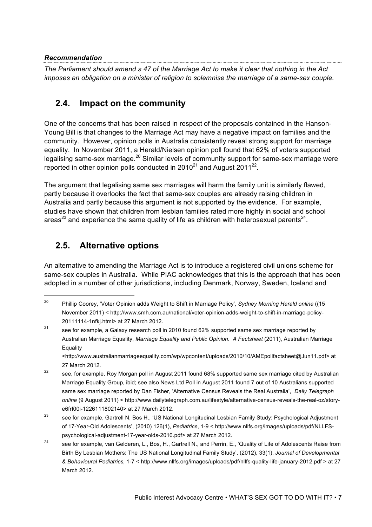#### *Recommendation*

*The Parliament should amend s 47 of the Marriage Act to make it clear that nothing in the Act imposes an obligation on a minister of religion to solemnise the marriage of a same-sex couple.*

# **2.4. Impact on the community**

One of the concerns that has been raised in respect of the proposals contained in the Hanson-Young Bill is that changes to the Marriage Act may have a negative impact on families and the community. However, opinion polls in Australia consistently reveal strong support for marriage equality. In November 2011, a Herald/Nielsen opinion poll found that 62% of voters supported legalising same-sex marriage.<sup>20</sup> Similar levels of community support for same-sex marriage were reported in other opinion polls conducted in  $2010^{21}$  and August  $2011^{22}$ .

The argument that legalising same sex marriages will harm the family unit is similarly flawed, partly because it overlooks the fact that same-sex couples are already raising children in Australia and partly because this argument is not supported by the evidence. For example, studies have shown that children from lesbian families rated more highly in social and school areas<sup>23</sup> and experience the same quality of life as children with heterosexual parents<sup>24</sup>.

# **2.5. Alternative options**

An alternative to amending the Marriage Act is to introduce a registered civil unions scheme for same-sex couples in Australia. While PIAC acknowledges that this is the approach that has been adopted in a number of other jurisdictions, including Denmark, Norway, Sweden, Iceland and

<http://www.australianmarriageequality.com/wp/wpcontent/uploads/2010/10/AMEpollfactsheet@Jun11.pdf> at 27 March 2012.

 <sup>20</sup> Phillip Coorey, 'Voter Opinion adds Weight to Shift in Marriage Policy', *Sydney Morning Herald online* ((15 November 2011) < http://www.smh.com.au/national/voter-opinion-adds-weight-to-shift-in-marriage-policy-20111114-1nfkj.html> at 27 March 2012.

<sup>&</sup>lt;sup>21</sup> see for example, a Galaxy research poll in 2010 found 62% supported same sex marriage reported by Australian Marriage Equality, *Marriage Equality and Public Opinion. A Factsheet* (2011), Australian Marriage Equality

<sup>&</sup>lt;sup>22</sup> see, for example, Roy Morgan poll in August 2011 found 68% supported same sex marriage cited by Australian Marriage Equality Group, ibid; see also News Ltd Poll in August 2011 found 7 out of 10 Australians supported same sex marriage reported by Dan Fisher, 'Alternative Census Reveals the Real Australia', *Daily Telegraph online* (9 August 2011) < http://www.dailytelegraph.com.au/lifestyle/alternative-census-reveals-the-real-oz/storye6frf00i-1226111802140> at 27 March 2012.

<sup>&</sup>lt;sup>23</sup> see for example, Gartrell N, Bos H., 'US National Longitudinal Lesbian Family Study: Psychological Adjustment of 17-Year-Old Adolescents', (2010) 126(1), *Pediatrics*, 1-9 < http://www.nllfs.org/images/uploads/pdf/NLLFSpsychological-adjustment-17-year-olds-2010.pdf> at 27 March 2012.

<sup>&</sup>lt;sup>24</sup> see for example, van Gelderen, L., Bos, H., Gartrell N., and Perrin, E., 'Quality of Life of Adolescents Raise from Birth By Lesbian Mothers: The US National Longitudinal Family Study', (2012), 33(1), *Journal of Developmental & Behavioural Pediatrics,* 1-7 < http://www.nllfs.org/images/uploads/pdf/nllfs-quality-life-january-2012.pdf > at 27 March 2012.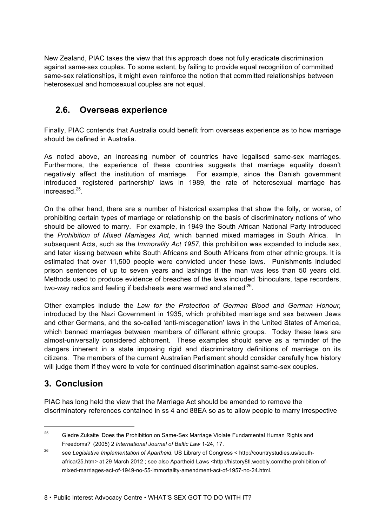New Zealand, PIAC takes the view that this approach does not fully eradicate discrimination against same-sex couples. To some extent, by failing to provide equal recognition of committed same-sex relationships, it might even reinforce the notion that committed relationships between heterosexual and homosexual couples are not equal.

# **2.6. Overseas experience**

Finally, PIAC contends that Australia could benefit from overseas experience as to how marriage should be defined in Australia.

As noted above, an increasing number of countries have legalised same-sex marriages. Furthermore, the experience of these countries suggests that marriage equality doesn't negatively affect the institution of marriage. For example, since the Danish government introduced 'registered partnership' laws in 1989, the rate of heterosexual marriage has increased<sup>25</sup>

On the other hand, there are a number of historical examples that show the folly, or worse, of prohibiting certain types of marriage or relationship on the basis of discriminatory notions of who should be allowed to marry. For example, in 1949 the South African National Party introduced the *Prohibition of Mixed Marriages Act,* which banned mixed marriages in South Africa. In subsequent Acts, such as the *Immorality Act 1957*, this prohibition was expanded to include sex, and later kissing between white South Africans and South Africans from other ethnic groups. It is estimated that over 11,500 people were convicted under these laws. Punishments included prison sentences of up to seven years and lashings if the man was less than 50 years old. Methods used to produce evidence of breaches of the laws included 'binoculars, tape recorders, two-way radios and feeling if bedsheets were warmed and stained<sup>'26</sup>.

Other examples include the *Law for the Protection of German Blood and German Honour,*  introduced by the Nazi Government in 1935, which prohibited marriage and sex between Jews and other Germans, and the so-called 'anti-miscegenation' laws in the United States of America, which banned marriages between members of different ethnic groups. Today these laws are almost-universally considered abhorrent. These examples should serve as a reminder of the dangers inherent in a state imposing rigid and discriminatory definitions of marriage on its citizens. The members of the current Australian Parliament should consider carefully how history will judge them if they were to vote for continued discrimination against same-sex couples.

# **3. Conclusion**

PIAC has long held the view that the Marriage Act should be amended to remove the discriminatory references contained in ss 4 and 88EA so as to allow people to marry irrespective

8 • Public Interest Advocacy Centre • WHAT'S SEX GOT TO DO WITH IT?

<sup>&</sup>lt;sup>25</sup> Giedre Zukaite 'Does the Prohibition on Same-Sex Marriage Violate Fundamental Human Rights and Freedoms?' (2005) 2 *International Journal of Baltic Law* 1-24, 17.

<sup>26</sup> see *Legislative Implementation of Apartheid*, US Library of Congress < http://countrystudies.us/southafrica/25.htm> at 29 March 2012 ; see also Apartheid Laws <http://history8tl.weebly.com/the-prohibition-ofmixed-marriages-act-of-1949-no-55-immortality-amendment-act-of-1957-no-24.html.